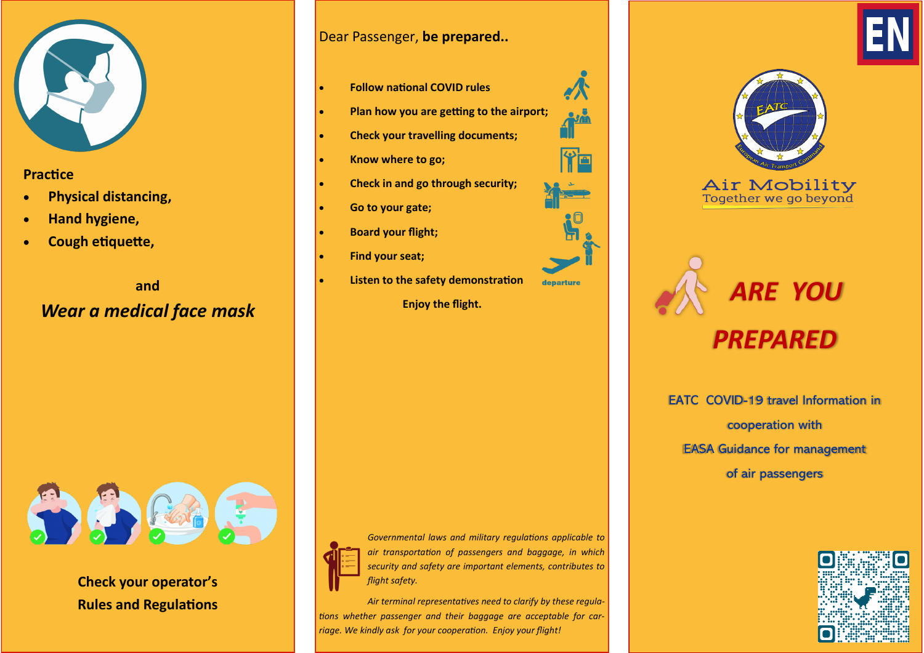

## **Practice**

- **Physical distancing,**
- **Hand hygiene,**
- **Cough etiquette,**

**and**  *Wear a medical face mask* Dear Passenger, **be prepared..**

- **Follow national COVID rules**
- **Plan how you are getting to the airport;**
- **Check your travelling documents;**
- **Know where to go;**
- **Check in and go through security;**
- **Go to your gate;**
- **Board your flight;**
- **Find your seat;**
- **Listen to the safety demonstration**

**Enjoy the flight.**







 *ARE YOU PREPARED* 

EATC COVID-19 travel Information in cooperation with EASA Guidance for management of air passengers





**Check your operator's Rules and Regulations**



*Governmental laws and military regulations applicable to air transportation of passengers and baggage, in which security and safety are important elements, contributes to flight safety.* 

*Air terminal representatives need to clarify by these regulations whether passenger and their baggage are acceptable for carriage. We kindly ask for your cooperation. Enjoy your flight!*